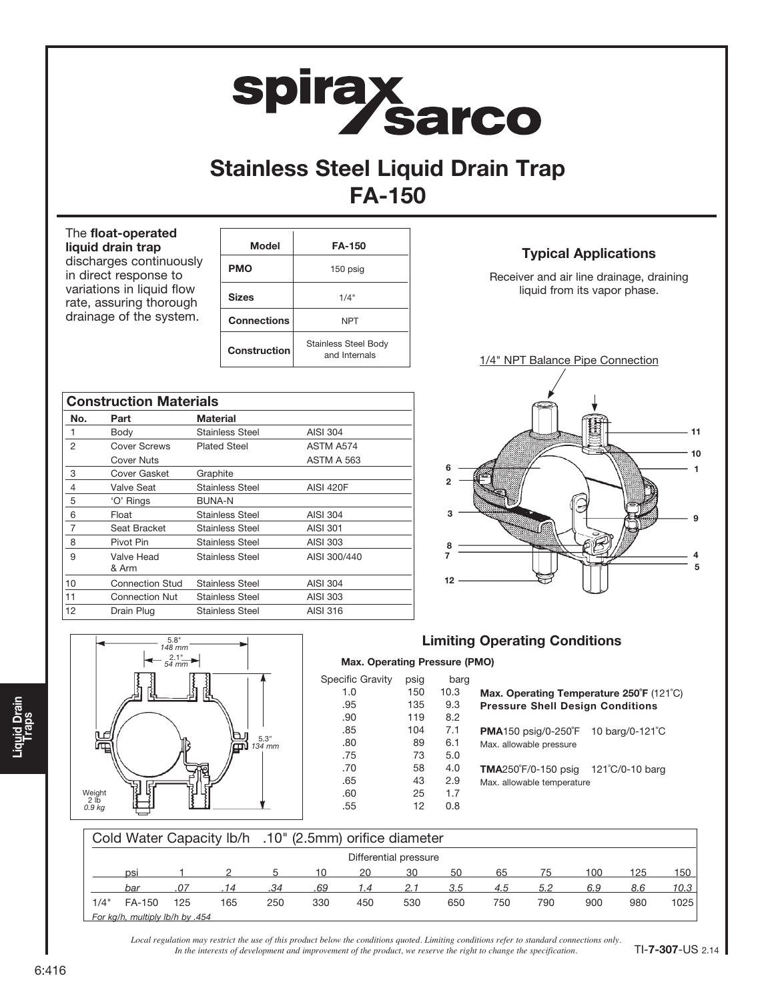# spirax<br>Sarco

## Stainless Steel Liquid Drain Trap FA-150

#### The float-operated liquid drain trap discharges continuously

in direct response to variations in liquid flow rate, assuring thorough drainage of the system.

| Model              | <b>FA-150</b>                                |
|--------------------|----------------------------------------------|
| PMO                | 150 psig                                     |
| <b>Sizes</b>       | 1/4"                                         |
| <b>Connections</b> | <b>NPT</b>                                   |
| Construction       | <b>Stainless Steel Body</b><br>and Internals |

|                | <b>Construction Materials</b> |                        |                   |
|----------------|-------------------------------|------------------------|-------------------|
| No.            | Part                          | <b>Material</b>        |                   |
| 1              | Body                          | <b>Stainless Steel</b> | <b>AISI 304</b>   |
| 2              | Cover Screws                  | <b>Plated Steel</b>    | ASTM A574         |
|                | Cover Nuts                    |                        | <b>ASTM A 563</b> |
| 3              | Cover Gasket                  | Graphite               |                   |
| $\overline{4}$ | Valve Seat                    | <b>Stainless Steel</b> | <b>AISI 420F</b>  |
| 5              | 'O' Rings                     | <b>BUNA-N</b>          |                   |
| 6              | Float                         | <b>Stainless Steel</b> | AISI 304          |
| 7              | Seat Bracket                  | <b>Stainless Steel</b> | <b>AISI 301</b>   |
| 8              | Pivot Pin                     | <b>Stainless Steel</b> | AISI 303          |
| 9              | Valve Head<br>& Arm           | Stainless Steel        | AISI 300/440      |
| 10             | <b>Connection Stud</b>        | <b>Stainless Steel</b> | <b>AISI 304</b>   |
| 11             | <b>Connection Nut</b>         | Stainless Steel        | AISI 303          |
| 12             | Drain Plug                    | <b>Stainless Steel</b> | AISI 316          |





### Limiting Operating Conditions

| psig | barg |                                             |                               |
|------|------|---------------------------------------------|-------------------------------|
| 150  | 10.3 | Max. Operating Temperature 250°F (121°C)    |                               |
| 135  | 9.3  | <b>Pressure Shell Design Conditions</b>     |                               |
| 119  | 8.2  |                                             |                               |
| 104  | 7.1  | <b>PMA150</b> psig/0-250 $\degree$ F        | 10 barg/0-121°C               |
| 89   | 6.1  | Max. allowable pressure                     |                               |
| 73   | 5.0  |                                             |                               |
| 58   | 4.0  | <b>TMA</b> 250°F/0-150 psig 121°C/0-10 barg |                               |
| 43   | 2.9  | Max. allowable temperature                  |                               |
| 25   | 1.7  |                                             |                               |
| 12   | 0.8  |                                             |                               |
|      |      |                                             | Max. Operating Pressure (PMO) |

|      |                                 |     | Cold Water Capacity Ib/h .10" (2.5mm) orifice diameter |     |     |     |                       |     |     |     |     |     |      |
|------|---------------------------------|-----|--------------------------------------------------------|-----|-----|-----|-----------------------|-----|-----|-----|-----|-----|------|
|      |                                 |     |                                                        |     |     |     | Differential pressure |     |     |     |     |     |      |
|      | DSI                             |     |                                                        |     | 10  | 20  | 30                    | 50  | 65  | 75  | 100 | 125 | 150  |
|      | bar                             | .07 |                                                        | .34 | .69 | 1.4 | 2.1                   | 3.5 | 4.5 | 5.2 | 6.9 | 8.6 | 10.3 |
| 1/4" | FA-150                          | 125 | 165                                                    | 250 | 330 | 450 | 530                   | 650 | 750 | 790 | 900 | 980 | 1025 |
|      | For kg/h, multiply lb/h by .454 |     |                                                        |     |     |     |                       |     |     |     |     |     |      |

*Local regulation may restrict the use of this product below the conditions quoted. Limiting conditions refer to standard connections only. In the interests of development and improvement of the product, we reserve the right to change the specification.*

Specific Gravity  $1.0$  $.95$  $.90<sub>1</sub>$  $.85$ .80  $.75.$  $.70<sub>•</sub>$  $.65$  $.60$  $.55$